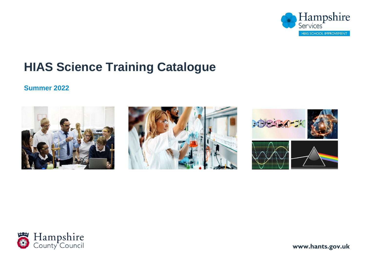

# **HIAS Science Training Catalogue**

### **Summer 2022**









**1 www.hants.gov.uk**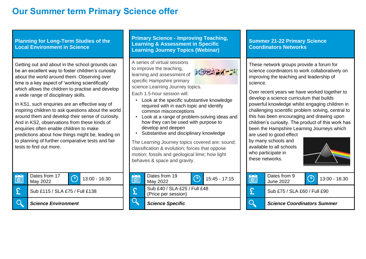## **Our Summer term Primary Science offer**

**Planning for Long-Term Studies of the Local Environment in Science**

Getting out and about in the school grounds can be an excellent way to foster children's curiosity about the world around them. Observing over time is a key aspect of 'working scientifically' which allows the children to practise and develop a wide range of disciplinary skills.

In KS1, such enquiries are an effective way of inspiring children to ask questions about the world around them and develop their sense of curiosity. And in KS2, observations from these kinds of enquiries often enable children to make predictions about how things might be, leading on to planning of further comparative tests and fair tests to find out more.



**Primary Science - Improving Teaching, Learning & Assessment in Specific Learning Journey Topics (Webinar)**

• Look at the specific substantive knowledge required with in each topic and identify

• Look at a range of problem-solving ideas and how they can be used with purpose to

• Substantive and disciplinary knowledge

The Learning Journey topics covered are: sound; classification & evolution; forces that oppose motion; fossils and geological lime; how light

A series of virtual sessions to improve the teaching, learning and assessment of specific Hampshire primary

Each 1.5-hour session will:

science Learning Journey topics.

common misconceptions

develop and deepen

behaves & space and gravity.



**Summer 21-22 Primary Science Coordinators Networks**

These network groups provide a forum for science coordinators to work collaboratively on improving the teaching and leadership of science.

Over recent years we have worked together to develop a science curriculum that builds powerful knowledge whilst engaging children in challenging scientific problem solving, central to this has been encouraging and drawing upon children's curiosity. The product of this work has been the Hampshire Learning Journeys which

are used to good effect by many schools and available to all schools who participate in these networks.



 $13:00 - 16:30$ 

| Dates from 19<br>May 2022                           |  | $15:45 - 17:15$ | 囲 | Dates from 9<br>June 2022    |  | 13:0 |
|-----------------------------------------------------|--|-----------------|---|------------------------------|--|------|
| Sub £40 / SLA £25 / Full £48<br>(Price per session) |  |                 |   | Sub £75 / SLA £60 / Full £90 |  |      |
|                                                     |  |                 |   |                              |  |      |